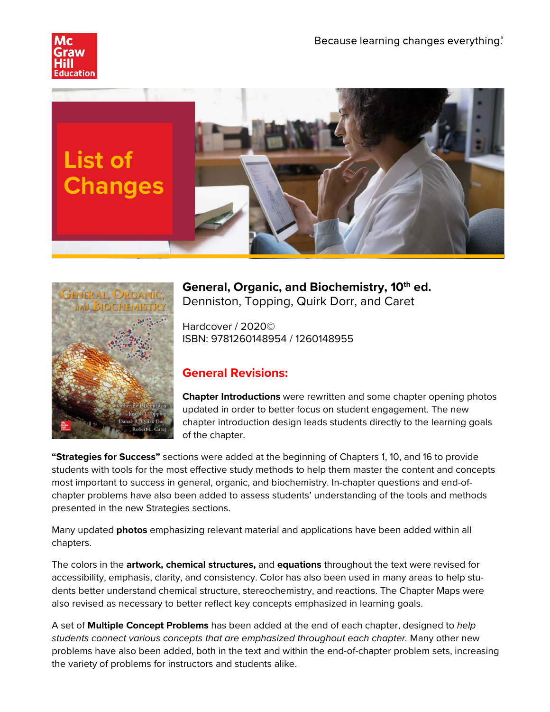





**General, Organic, and Biochemistry, 10th ed.** Denniston, Topping, Quirk Dorr, and Caret

Hardcover / 2020© ISBN: 9781260148954 / 1260148955

## **General Revisions:**

**Chapter Introductions** were rewritten and some chapter opening photos updated in order to better focus on student engagement. The new chapter introduction design leads students directly to the learning goals of the chapter.

**"Strategies for Success"** sections were added at the beginning of Chapters 1, 10, and 16 to provide students with tools for the most effective study methods to help them master the content and concepts most important to success in general, organic, and biochemistry. In-chapter questions and end-ofchapter problems have also been added to assess students' understanding of the tools and methods presented in the new Strategies sections.

Many updated **photos** emphasizing relevant material and applications have been added within all chapters.

The colors in the **artwork, chemical structures,** and **equations** throughout the text were revised for accessibility, emphasis, clarity, and consistency. Color has also been used in many areas to help students better understand chemical structure, stereochemistry, and reactions. The Chapter Maps were also revised as necessary to better reflect key concepts emphasized in learning goals.

A set of **Multiple Concept Problems** has been added at the end of each chapter, designed to *help students connect various concepts that are emphasized throughout each chapter.* Many other new problems have also been added, both in the text and within the end-of-chapter problem sets, increasing the variety of problems for instructors and students alike.